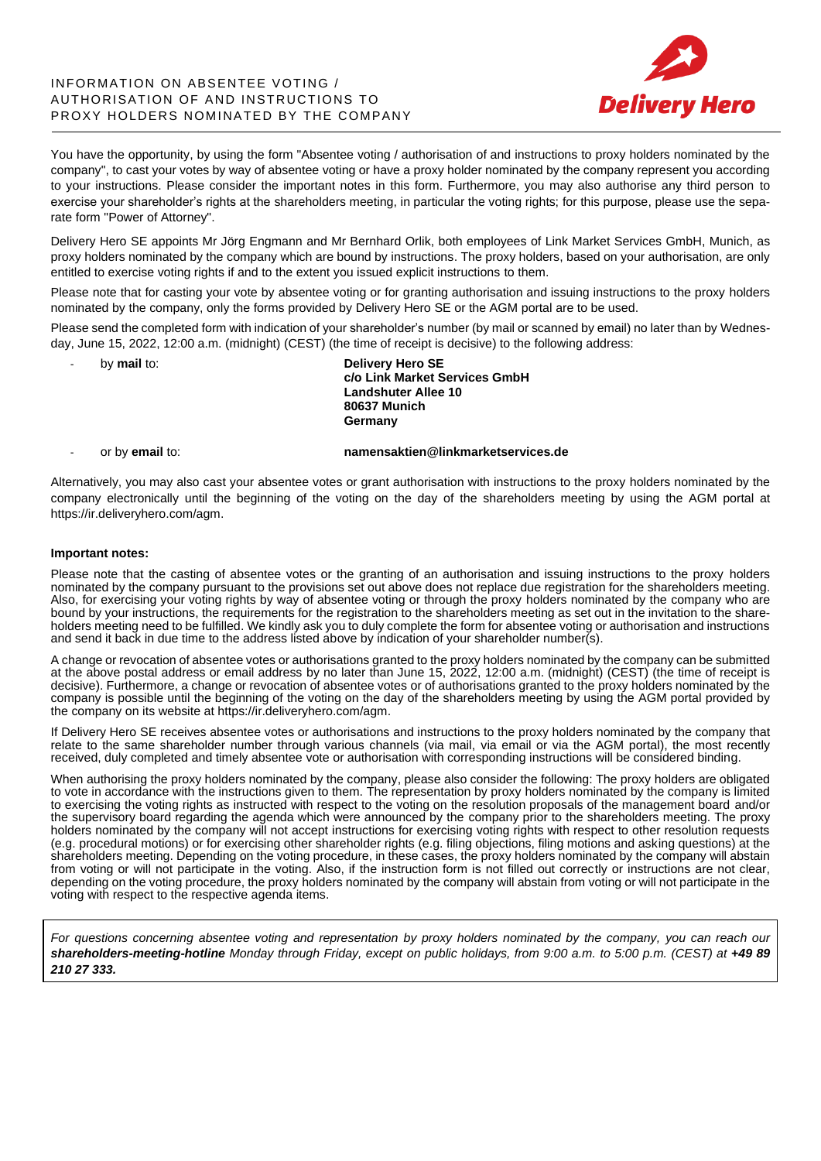# INFORMATION ON ABSENTEE VOTING / AUTHORISATION OF AND INSTRUCTIONS TO PROXY HOLDERS NOMINATED BY THE COMPANY



You have the opportunity, by using the form "Absentee voting / authorisation of and instructions to proxy holders nominated by the company", to cast your votes by way of absentee voting or have a proxy holder nominated by the company represent you according to your instructions. Please consider the important notes in this form. Furthermore, you may also authorise any third person to exercise your shareholder's rights at the shareholders meeting, in particular the voting rights; for this purpose, please use the separate form "Power of Attorney".

Delivery Hero SE appoints Mr Jörg Engmann and Mr Bernhard Orlik, both employees of Link Market Services GmbH, Munich, as proxy holders nominated by the company which are bound by instructions. The proxy holders, based on your authorisation, are only entitled to exercise voting rights if and to the extent you issued explicit instructions to them.

Please note that for casting your vote by absentee voting or for granting authorisation and issuing instructions to the proxy holders nominated by the company, only the forms provided by Delivery Hero SE or the AGM portal are to be used.

Please send the completed form with indication of your shareholder's number (by mail or scanned by email) no later than by Wednesday, June 15, 2022, 12:00 a.m. (midnight) (CEST) (the time of receipt is decisive) to the following address:

- by **mail** to: **Delivery Hero SE c/o Link Market Services GmbH Landshuter Allee 10 80637 Munich Germany**

# - or by **email** to: **namensaktien@linkmarketservices.de**

Alternatively, you may also cast your absentee votes or grant authorisation with instructions to the proxy holders nominated by the company electronically until the beginning of the voting on the day of the shareholders meeting by using the AGM portal at https://ir.deliveryhero.com/agm.

### **Important notes:**

Please note that the casting of absentee votes or the granting of an authorisation and issuing instructions to the proxy holders nominated by the company pursuant to the provisions set out above does not replace due registration for the shareholders meeting. Also, for exercising your voting rights by way of absentee voting or through the proxy holders nominated by the company who are bound by your instructions, the requirements for the registration to the shareholders meeting as set out in the invitation to the shareholders meeting need to be fulfilled. We kindly ask you to duly complete the form for absentee voting or authorisation and instructions and send it back in due time to the address listed above by indication of your shareholder number(s).

A change or revocation of absentee votes or authorisations granted to the proxy holders nominated by the company can be submitted at the above postal address or email address by no later than June 15, 2022, 12:00 a.m. (midnight) (CEST) (the time of receipt is decisive). Furthermore, a change or revocation of absentee votes or of authorisations granted to the proxy holders nominated by the company is possible until the beginning of the voting on the day of the shareholders meeting by using the AGM portal provided by the company on its website at https://ir.deliveryhero.com/agm.

If Delivery Hero SE receives absentee votes or authorisations and instructions to the proxy holders nominated by the company that relate to the same shareholder number through various channels (via mail, via email or via the AGM portal), the most recently received, duly completed and timely absentee vote or authorisation with corresponding instructions will be considered binding.

When authorising the proxy holders nominated by the company, please also consider the following: The proxy holders are obligated to vote in accordance with the instructions given to them. The representation by proxy holders nominated by the company is limited to exercising the voting rights as instructed with respect to the voting on the resolution proposals of the management board and/or the supervisory board regarding the agenda which were announced by the company prior to the shareholders meeting. The proxy holders nominated by the company will not accept instructions for exercising voting rights with respect to other resolution requests (e.g. procedural motions) or for exercising other shareholder rights (e.g. filing objections, filing motions and asking questions) at the shareholders meeting. Depending on the voting procedure, in these cases, the proxy holders nominated by the company will abstain from voting or will not participate in the voting. Also, if the instruction form is not filled out correctly or instructions are not clear, depending on the voting procedure, the proxy holders nominated by the company will abstain from voting or will not participate in the voting with respect to the respective agenda items.

*For questions concerning absentee voting and representation by proxy holders nominated by the company, you can reach our shareholders-meeting-hotline Monday through Friday, except on public holidays, from 9:00 a.m. to 5:00 p.m. (CEST) at +49 89 210 27 333.*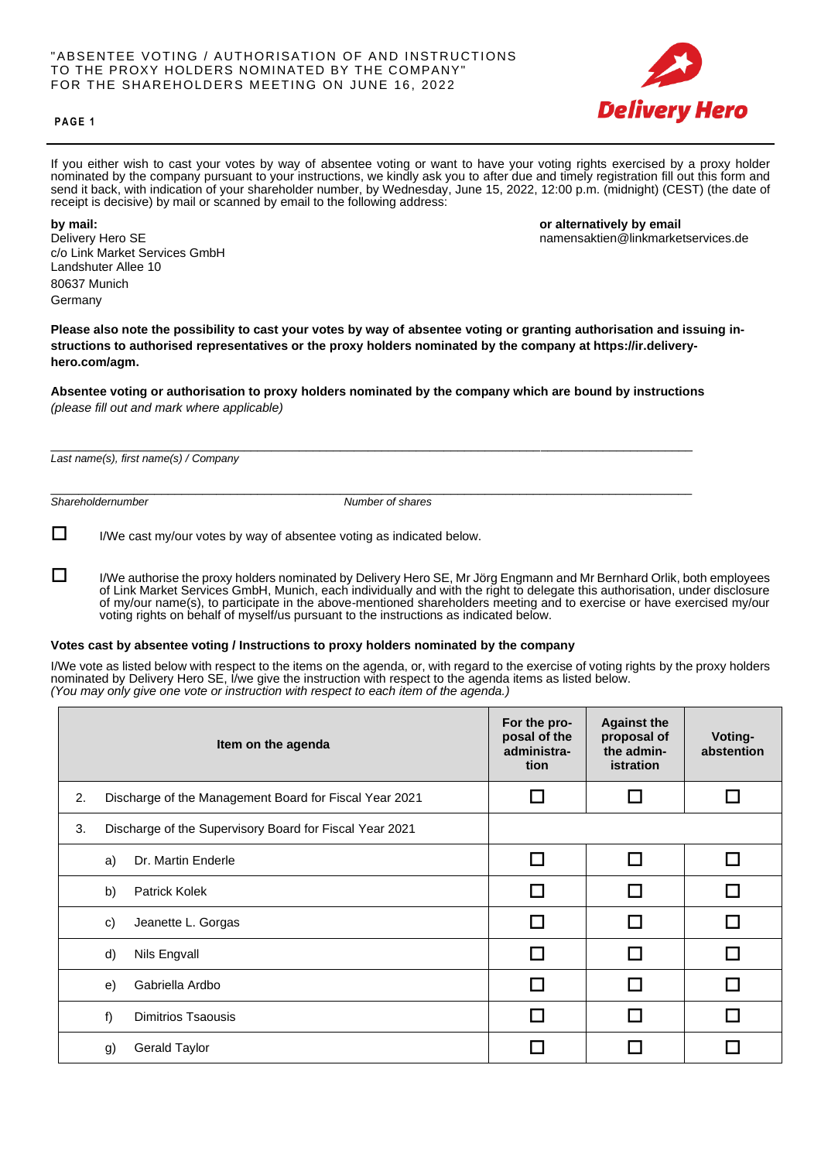# "ABSENTEE VOTING / AUTHORISATION OF A ND INSTRUCTIONS TO THE PROXY HOLDERS NOMINATED BY THE COMPANY" FOR THE SHAREHOLDERS MEETING ON JUNE 16, 2022



### **P A G E 1**

If you either wish to cast your votes by way of absentee voting or want to have your voting rights exercised by a proxy holder nominated by the company pursuant to your instructions, we kindly ask you to after due and timely registration fill out this form and send it back, with indication of your shareholder number, by Wednesday, June 15, 2022, 12:00 p.m. (midnight) (CEST) (the date of receipt is decisive) by mail or scanned by email to the following address:

c/o Link Market Services GmbH Landshuter Allee 10 80637 Munich Germany

**by mail: by mail: by mail by mail by mail by mail by mail by mail by email by email by email by email** Delivery Hero SE namensaktien@linkmarketservices.de

**Please also note the possibility to cast your votes by way of absentee voting or granting authorisation and issuing instructions to authorised representatives or the proxy holders nominated by the company at https://ir.deliveryhero.com/agm.**

**Absentee voting or authorisation to proxy holders nominated by the company which are bound by instructions** *(please fill out and mark where applicable)*

\_\_\_\_\_\_\_\_\_\_\_\_\_\_\_\_\_\_\_\_\_\_\_\_\_\_\_\_\_\_\_\_\_\_\_\_\_\_\_\_\_\_\_\_\_\_\_\_\_\_\_\_\_\_\_\_\_\_\_\_\_\_\_\_\_\_\_\_\_\_\_\_\_\_\_\_\_\_\_\_\_\_\_\_\_\_\_\_\_\_\_\_\_

*Last name(s), first name(s) / Company*

\_\_\_\_\_\_\_\_\_\_\_\_\_\_\_\_\_\_\_\_\_\_\_\_\_\_\_\_\_\_\_\_\_\_\_\_\_\_\_\_\_\_\_\_\_\_\_\_\_\_\_\_\_\_\_\_\_\_\_\_\_\_\_\_\_\_\_\_\_\_\_\_\_\_\_\_\_\_\_\_\_\_\_\_\_\_\_\_\_\_\_\_\_ *Shareholdernumber Number of shares*

 $\Box$  I/We cast my/our votes by way of absentee voting as indicated below.

 I/We authorise the proxy holders nominated by Delivery Hero SE, Mr Jörg Engmann and Mr Bernhard Orlik, both employees of Link Market Services GmbH, Munich, each individually and with the right to delegate this authorisation, under disclosure of my/our name(s), to participate in the above-mentioned shareholders meeting and to exercise or have exercised my/our voting rights on behalf of myself/us pursuant to the instructions as indicated below.

# **Votes cast by absentee voting / Instructions to proxy holders nominated by the company**

I/We vote as listed below with respect to the items on the agenda, or, with regard to the exercise of voting rights by the proxy holders nominated by Delivery Hero SE, I/we give the instruction with respect to the agenda items as listed below. *(You may only give one vote or instruction with respect to each item of the agenda.)*

|    | Item on the agenda                                      | For the pro-<br>posal of the<br>administra-<br>tion | <b>Against the</b><br>proposal of<br>the admin-<br>istration | Voting-<br>abstention |
|----|---------------------------------------------------------|-----------------------------------------------------|--------------------------------------------------------------|-----------------------|
| 2. | Discharge of the Management Board for Fiscal Year 2021  | I.                                                  |                                                              |                       |
| 3. | Discharge of the Supervisory Board for Fiscal Year 2021 |                                                     |                                                              |                       |
|    | Dr. Martin Enderle<br>a)                                | □                                                   |                                                              |                       |
|    | b)<br><b>Patrick Kolek</b>                              | l.                                                  |                                                              |                       |
|    | Jeanette L. Gorgas<br>C)                                | I.                                                  |                                                              |                       |
|    | d)<br>Nils Engvall                                      | $\Box$                                              |                                                              |                       |
|    | Gabriella Ardbo<br>e)                                   |                                                     |                                                              |                       |
|    | f)<br><b>Dimitrios Tsaousis</b>                         | <b>Talent</b>                                       |                                                              |                       |
|    | <b>Gerald Taylor</b><br>g)                              |                                                     |                                                              |                       |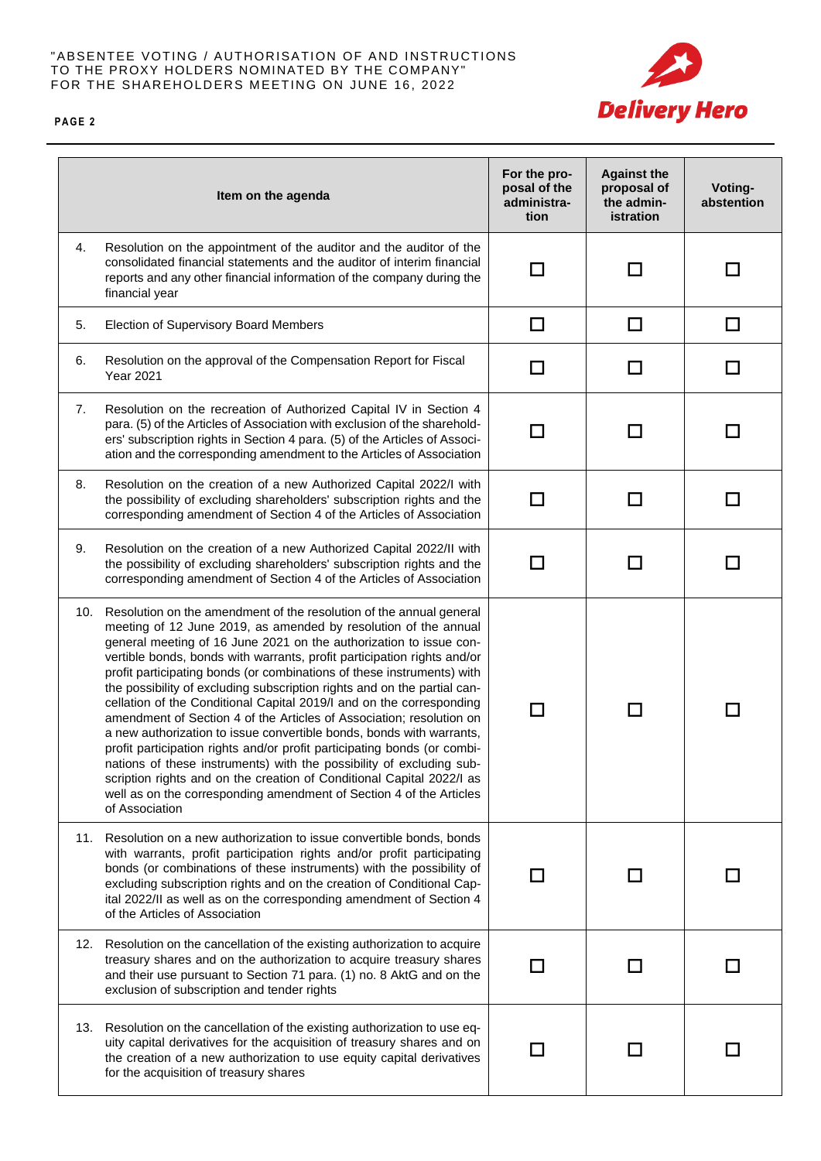# "ABSENTEE VOTING / AUTHORISATION OF AND INSTRUCTIONS TO THE PROXY HOLDERS NOMINATED BY THE COMPANY" FOR THE SHAREHOLDERS MEETING ON JUNE 16, 2022



**P A G E 2**

|     | Item on the agenda                                                                                                                                                                                                                                                                                                                                                                                                                                                                                                                                                                                                                                                                                                                                                                                                                                                                                                                                                                          | For the pro-<br>posal of the<br>administra-<br>tion | <b>Against the</b><br>proposal of<br>the admin-<br>istration | Voting-<br>abstention |
|-----|---------------------------------------------------------------------------------------------------------------------------------------------------------------------------------------------------------------------------------------------------------------------------------------------------------------------------------------------------------------------------------------------------------------------------------------------------------------------------------------------------------------------------------------------------------------------------------------------------------------------------------------------------------------------------------------------------------------------------------------------------------------------------------------------------------------------------------------------------------------------------------------------------------------------------------------------------------------------------------------------|-----------------------------------------------------|--------------------------------------------------------------|-----------------------|
| 4.  | Resolution on the appointment of the auditor and the auditor of the<br>consolidated financial statements and the auditor of interim financial<br>reports and any other financial information of the company during the<br>financial year                                                                                                                                                                                                                                                                                                                                                                                                                                                                                                                                                                                                                                                                                                                                                    | $\Box$                                              | $\mathcal{L}$                                                |                       |
| 5.  | Election of Supervisory Board Members                                                                                                                                                                                                                                                                                                                                                                                                                                                                                                                                                                                                                                                                                                                                                                                                                                                                                                                                                       | □                                                   | □                                                            | □                     |
| 6.  | Resolution on the approval of the Compensation Report for Fiscal<br><b>Year 2021</b>                                                                                                                                                                                                                                                                                                                                                                                                                                                                                                                                                                                                                                                                                                                                                                                                                                                                                                        | □                                                   | П                                                            | П                     |
| 7.  | Resolution on the recreation of Authorized Capital IV in Section 4<br>para. (5) of the Articles of Association with exclusion of the sharehold-<br>ers' subscription rights in Section 4 para. (5) of the Articles of Associ-<br>ation and the corresponding amendment to the Articles of Association                                                                                                                                                                                                                                                                                                                                                                                                                                                                                                                                                                                                                                                                                       | $\Box$                                              | П                                                            | П                     |
| 8.  | Resolution on the creation of a new Authorized Capital 2022/I with<br>the possibility of excluding shareholders' subscription rights and the<br>corresponding amendment of Section 4 of the Articles of Association                                                                                                                                                                                                                                                                                                                                                                                                                                                                                                                                                                                                                                                                                                                                                                         | $\Box$                                              | l I                                                          | H                     |
| 9.  | Resolution on the creation of a new Authorized Capital 2022/II with<br>the possibility of excluding shareholders' subscription rights and the<br>corresponding amendment of Section 4 of the Articles of Association                                                                                                                                                                                                                                                                                                                                                                                                                                                                                                                                                                                                                                                                                                                                                                        | H                                                   |                                                              |                       |
| 10. | Resolution on the amendment of the resolution of the annual general<br>meeting of 12 June 2019, as amended by resolution of the annual<br>general meeting of 16 June 2021 on the authorization to issue con-<br>vertible bonds, bonds with warrants, profit participation rights and/or<br>profit participating bonds (or combinations of these instruments) with<br>the possibility of excluding subscription rights and on the partial can-<br>cellation of the Conditional Capital 2019/I and on the corresponding<br>amendment of Section 4 of the Articles of Association; resolution on<br>a new authorization to issue convertible bonds, bonds with warrants,<br>profit participation rights and/or profit participating bonds (or combi-<br>nations of these instruments) with the possibility of excluding sub-<br>scription rights and on the creation of Conditional Capital 2022/I as<br>well as on the corresponding amendment of Section 4 of the Articles<br>of Association | H                                                   |                                                              |                       |
| 11. | Resolution on a new authorization to issue convertible bonds, bonds<br>with warrants, profit participation rights and/or profit participating<br>bonds (or combinations of these instruments) with the possibility of<br>excluding subscription rights and on the creation of Conditional Cap-<br>ital 2022/II as well as on the corresponding amendment of Section 4<br>of the Articles of Association                                                                                                                                                                                                                                                                                                                                                                                                                                                                                                                                                                                     |                                                     |                                                              |                       |
| 12. | Resolution on the cancellation of the existing authorization to acquire<br>treasury shares and on the authorization to acquire treasury shares<br>and their use pursuant to Section 71 para. (1) no. 8 AktG and on the<br>exclusion of subscription and tender rights                                                                                                                                                                                                                                                                                                                                                                                                                                                                                                                                                                                                                                                                                                                       | - 1                                                 |                                                              |                       |
| 13. | Resolution on the cancellation of the existing authorization to use eq-<br>uity capital derivatives for the acquisition of treasury shares and on<br>the creation of a new authorization to use equity capital derivatives<br>for the acquisition of treasury shares                                                                                                                                                                                                                                                                                                                                                                                                                                                                                                                                                                                                                                                                                                                        | - 1                                                 |                                                              |                       |